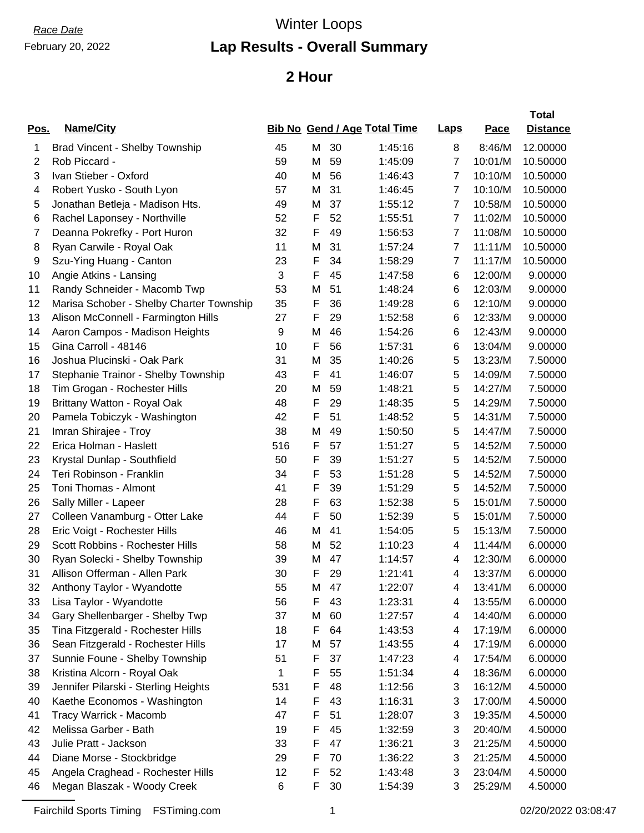# February 20, 2022

# *Race Date* Winter Loops

### **Lap Results - Overall Summary**

#### **2 Hour**

|      |                                          |     |   |    |                                     |                |             | <b>Total</b>    |
|------|------------------------------------------|-----|---|----|-------------------------------------|----------------|-------------|-----------------|
| Pos. | Name/City                                |     |   |    | <b>Bib No Gend / Age Total Time</b> | Laps           | <b>Pace</b> | <b>Distance</b> |
| 1    | Brad Vincent - Shelby Township           | 45  | M | 30 | 1:45:16                             | 8              | 8:46/M      | 12.00000        |
| 2    | Rob Piccard -                            | 59  | M | 59 | 1:45:09                             | $\overline{7}$ | 10:01/M     | 10.50000        |
| 3    | Ivan Stieber - Oxford                    | 40  | Μ | 56 | 1:46:43                             | 7              | 10:10/M     | 10.50000        |
| 4    | Robert Yusko - South Lyon                | 57  | M | 31 | 1:46:45                             | $\overline{7}$ | 10:10/M     | 10.50000        |
| 5    | Jonathan Betleja - Madison Hts.          | 49  | Μ | 37 | 1:55:12                             | $\overline{7}$ | 10:58/M     | 10.50000        |
| 6    | Rachel Laponsey - Northville             | 52  | F | 52 | 1:55:51                             | $\overline{7}$ | 11:02/M     | 10.50000        |
| 7    | Deanna Pokrefky - Port Huron             | 32  | F | 49 | 1:56:53                             | $\overline{7}$ | 11:08/M     | 10.50000        |
| 8    | Ryan Carwile - Royal Oak                 | 11  | М | 31 | 1:57:24                             | $\overline{7}$ | 11:11/M     | 10.50000        |
| 9    | Szu-Ying Huang - Canton                  | 23  | F | 34 | 1:58:29                             | 7              | 11:17/M     | 10.50000        |
| 10   | Angie Atkins - Lansing                   | 3   | F | 45 | 1:47:58                             | 6              | 12:00/M     | 9.00000         |
| 11   | Randy Schneider - Macomb Twp             | 53  | Μ | 51 | 1:48:24                             | 6              | 12:03/M     | 9.00000         |
| 12   | Marisa Schober - Shelby Charter Township | 35  | F | 36 | 1:49:28                             | 6              | 12:10/M     | 9.00000         |
| 13   | Alison McConnell - Farmington Hills      | 27  | F | 29 | 1:52:58                             | 6              | 12:33/M     | 9.00000         |
| 14   | Aaron Campos - Madison Heights           | 9   | Μ | 46 | 1:54:26                             | 6              | 12:43/M     | 9.00000         |
| 15   | Gina Carroll - 48146                     | 10  | F | 56 | 1:57:31                             | 6              | 13:04/M     | 9.00000         |
| 16   | Joshua Plucinski - Oak Park              | 31  | Μ | 35 | 1:40:26                             | 5              | 13:23/M     | 7.50000         |
| 17   | Stephanie Trainor - Shelby Township      | 43  | F | 41 | 1:46:07                             | 5              | 14:09/M     | 7.50000         |
| 18   | Tim Grogan - Rochester Hills             | 20  | M | 59 | 1:48:21                             | 5              | 14:27/M     | 7.50000         |
| 19   | Brittany Watton - Royal Oak              | 48  | F | 29 | 1:48:35                             | 5              | 14:29/M     | 7.50000         |
| 20   | Pamela Tobiczyk - Washington             | 42  | F | 51 | 1:48:52                             | 5              | 14:31/M     | 7.50000         |
| 21   | Imran Shirajee - Troy                    | 38  | M | 49 | 1:50:50                             | 5              | 14:47/M     | 7.50000         |
| 22   | Erica Holman - Haslett                   | 516 | F | 57 | 1:51:27                             | 5              | 14:52/M     | 7.50000         |
| 23   | Krystal Dunlap - Southfield              | 50  | F | 39 | 1:51:27                             | 5              | 14:52/M     | 7.50000         |
| 24   | Teri Robinson - Franklin                 | 34  | F | 53 | 1:51:28                             | 5              | 14:52/M     | 7.50000         |
| 25   | Toni Thomas - Almont                     | 41  | F | 39 | 1:51:29                             | 5              | 14:52/M     | 7.50000         |
| 26   | Sally Miller - Lapeer                    | 28  | F | 63 | 1:52:38                             | 5              | 15:01/M     | 7.50000         |
| 27   | Colleen Vanamburg - Otter Lake           | 44  | F | 50 | 1:52:39                             | 5              | 15:01/M     | 7.50000         |
| 28   | Eric Voigt - Rochester Hills             | 46  | Μ | 41 | 1:54:05                             | 5              | 15:13/M     | 7.50000         |
| 29   | Scott Robbins - Rochester Hills          | 58  | M | 52 | 1:10:23                             | 4              | 11:44/M     | 6.00000         |
| 30   | Ryan Solecki - Shelby Township           | 39  | Μ | 47 | 1:14:57                             | 4              | 12:30/M     | 6.00000         |
| 31   | Allison Offerman - Allen Park            | 30  | F | 29 | 1:21:41                             | 4              | 13:37/M     | 6.00000         |
| 32   | Anthony Taylor - Wyandotte               | 55  | М | 47 | 1:22:07                             | 4              | 13:41/M     | 6.00000         |
| 33   | Lisa Taylor - Wyandotte                  | 56  | F | 43 | 1:23:31                             | 4              | 13:55/M     | 6.00000         |
| 34   | Gary Shellenbarger - Shelby Twp          | 37  | M | 60 | 1:27:57                             | 4              | 14:40/M     | 6.00000         |
| 35   | Tina Fitzgerald - Rochester Hills        | 18  | F | 64 | 1:43:53                             | 4              | 17:19/M     | 6.00000         |
| 36   | Sean Fitzgerald - Rochester Hills        | 17  | М | 57 | 1:43:55                             | 4              | 17:19/M     | 6.00000         |
| 37   | Sunnie Foune - Shelby Township           | 51  | F | 37 | 1:47:23                             | 4              | 17:54/M     | 6.00000         |
| 38   | Kristina Alcorn - Royal Oak              | 1   | F | 55 | 1:51:34                             | 4              | 18:36/M     | 6.00000         |
| 39   | Jennifer Pilarski - Sterling Heights     | 531 | F | 48 | 1:12:56                             | 3              | 16:12/M     | 4.50000         |
| 40   | Kaethe Economos - Washington             | 14  | F | 43 | 1:16:31                             | 3              | 17:00/M     | 4.50000         |
| 41   | Tracy Warrick - Macomb                   | 47  | F | 51 | 1:28:07                             | 3              | 19:35/M     | 4.50000         |
| 42   | Melissa Garber - Bath                    | 19  | F | 45 | 1:32:59                             | 3              | 20:40/M     | 4.50000         |
| 43   | Julie Pratt - Jackson                    | 33  | F | 47 | 1:36:21                             | 3              | 21:25/M     | 4.50000         |
| 44   | Diane Morse - Stockbridge                | 29  | F | 70 | 1:36:22                             | 3              | 21:25/M     | 4.50000         |
| 45   | Angela Craghead - Rochester Hills        | 12  | F | 52 | 1:43:48                             | 3              | 23:04/M     | 4.50000         |
| 46   | Megan Blaszak - Woody Creek              | 6   | F | 30 | 1:54:39                             | 3              | 25:29/M     | 4.50000         |
|      |                                          |     |   |    |                                     |                |             |                 |

Fairchild Sports Timing FSTiming.com 1 02/20/2022 03:08:47